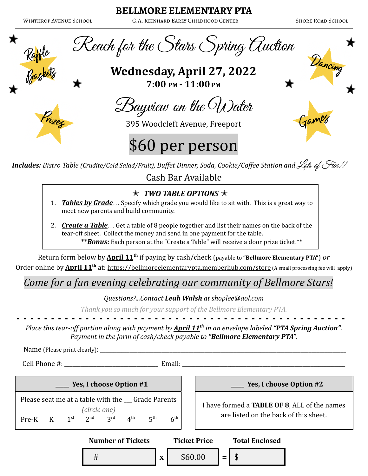### **BELLMORE ELEMENTARY PTA**

Winthrop Avenue School C.A. Reinhard Early Childhood Center Shore Road School

Dancing

Games





**Wednesday, April 27, 2022 7:00 PM - 11:00 PM**

Bayview on the Water

395 Woodcleft Avenue, Freeport

# \$60 per person

*Includes: Bistro Table (Crudite/Cold Salad/Fruit), Buffet Dinner, Soda, Cookie/Coffee Station and <i>Lets of Fun!!* Cash Bar Available

## ✭ *TWO TABLE OPTIONS* ✭

- 1. *Tables by Grade*… Specify which grade you would like to sit with. This is a great way to meet new parents and build community.
- 2. *Create a Table*… Get a table of 8 people together and list their names on the back of the tear-off sheet. Collect the money and send in one payment for the table. \*\**Bonus***:** Each person at the "Create a Table" will receive a door prize ticket.\*\*

Return form below by **April 11th** if paying by cash/check (payable to **"Bellmore Elementary PTA"**) *or* Order online by **April 11th** at: <https://bellmoreelementarypta.memberhub.com/store> (A small processing fee will apply)

## *Come for a fun evening celebrating our community of Bellmore Stars!*

#### *Questions?...Contact Leah Walsh at shoplee@aol.com*

*Thank you so much for your support of the Bellmore Elementary PTA.*

- - - - - - - - - - - - - - - - - - - - - - - - - - - - - - - - - - - - - - - - - - - - - - - -

*Place this tear-off portion along with payment by April 11th in an envelope labeled "PTA Spring Auction". Payment in the form of cash/check payable to "Bellmore Elementary PTA".*

Name (Please print clearly): \_\_\_\_\_\_\_\_\_\_\_\_\_\_\_\_\_\_\_\_\_\_\_\_\_\_\_\_\_\_\_\_\_\_\_\_\_\_\_\_\_\_\_\_\_\_\_\_\_\_\_\_\_\_\_\_\_\_\_\_\_\_\_\_\_\_\_\_\_\_\_\_\_\_\_\_\_\_\_\_\_\_\_\_\_\_\_\_\_\_\_\_

Cell Phone #: \_\_\_\_\_\_\_\_\_\_\_\_\_\_\_\_\_\_\_\_\_\_\_\_\_\_\_\_\_\_\_\_\_\_\_ Email: \_\_\_\_\_\_\_\_\_\_\_\_\_\_\_\_\_\_\_\_\_\_\_\_\_\_\_\_\_\_\_\_\_\_\_\_\_\_\_\_\_\_\_\_\_\_\_\_\_\_\_\_\_\_\_\_\_\_\_\_\_

**\_\_\_\_\_ Yes, I choose Option #1 \_\_\_\_\_ Yes, I choose Option #2** Please seat me at a table with the \_\_\_ Grade Parents *(circle one)* Pre-K K st  $2^{nd}$   $3^n$  $3^{\text{rd}}$   $4^{\text{th}}$  $5<sup>th</sup>$ <sup>th</sup>  $6^{\text{th}}$ 

I have formed a **TABLE OF 8**, ALL of the names are listed on the back of this sheet.

**Number of Tickets Ticket Price Total Enclosed** # **x** \$60.00 **=** \$